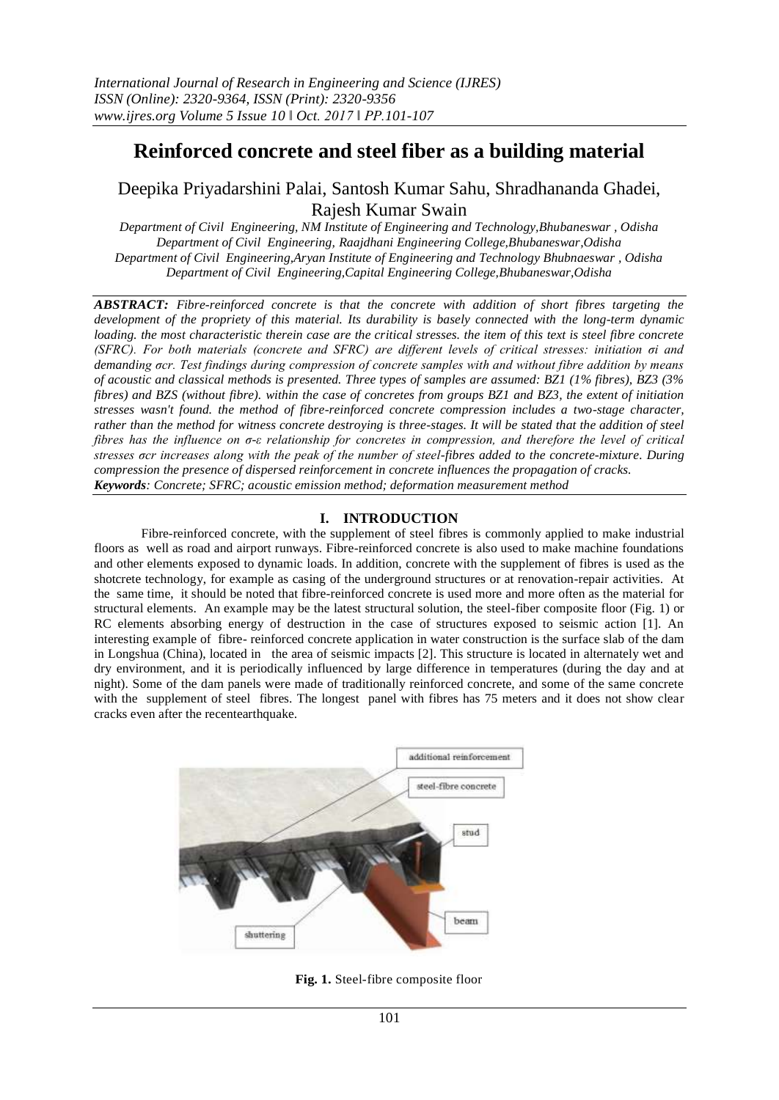# **Reinforced concrete and steel fiber as a building material**

## Deepika Priyadarshini Palai, Santosh Kumar Sahu, Shradhananda Ghadei, Rajesh Kumar Swain

*Department of Civil Engineering, NM Institute of Engineering and Technology,Bhubaneswar , Odisha Department of Civil Engineering, Raajdhani Engineering College,Bhubaneswar,Odisha Department of Civil Engineering,Aryan Institute of Engineering and Technology Bhubnaeswar , Odisha Department of Civil Engineering,Capital Engineering College,Bhubaneswar,Odisha*

*ABSTRACT: Fibre-reinforced concrete is that the concrete with addition of short fibres targeting the development of the propriety of this material. Its durability is basely connected with the long-term dynamic loading. the most characteristic therein case are the critical stresses. the item of this text is steel fibre concrete (SFRC). For both materials (concrete and SFRC) are different levels of critical stresses: initiation σi and demanding σcr. Test findings during compression of concrete samples with and without fibre addition by means of acoustic and classical methods is presented. Three types of samples are assumed: BZ1 (1% fibres), BZ3 (3% fibres) and BZS (without fibre). within the case of concretes from groups BZ1 and BZ3, the extent of initiation stresses wasn't found. the method of fibre-reinforced concrete compression includes a two-stage character, rather than the method for witness concrete destroying is three-stages. It will be stated that the addition of steel fibres has the influence on σ-ε relationship for concretes in compression, and therefore the level of critical stresses σcr increases along with the peak of the number of steel-fibres added to the concrete-mixture. During compression the presence of dispersed reinforcement in concrete influences the propagation of cracks. Keywords: Concrete; SFRC; acoustic emission method; deformation measurement method*

### **I. INTRODUCTION**

Fibre-reinforced concrete, with the supplement of steel fibres is commonly applied to make industrial floors as well as road and airport runways. Fibre-reinforced concrete is also used to make machine foundations and other elements exposed to dynamic loads. In addition, concrete with the supplement of fibres is used as the shotcrete technology, for example as casing of the underground structures or at renovation-repair activities. At the same time, it should be noted that fibre-reinforced concrete is used more and more often as the material for structural elements. An example may be the latest structural solution, the steel-fiber composite floor (Fig. 1) or RC elements absorbing energy of destruction in the case of structures exposed to seismic action [1]. An interesting example of fibre- reinforced concrete application in water construction is the surface slab of the dam in Longshua (China), located in the area of seismic impacts [2]. This structure is located in alternately wet and dry environment, and it is periodically influenced by large difference in temperatures (during the day and at night). Some of the dam panels were made of traditionally reinforced concrete, and some of the same concrete with the supplement of steel fibres. The longest panel with fibres has 75 meters and it does not show clear cracks even after the recentearthquake.



**Fig. 1.** Steel-fibre composite floor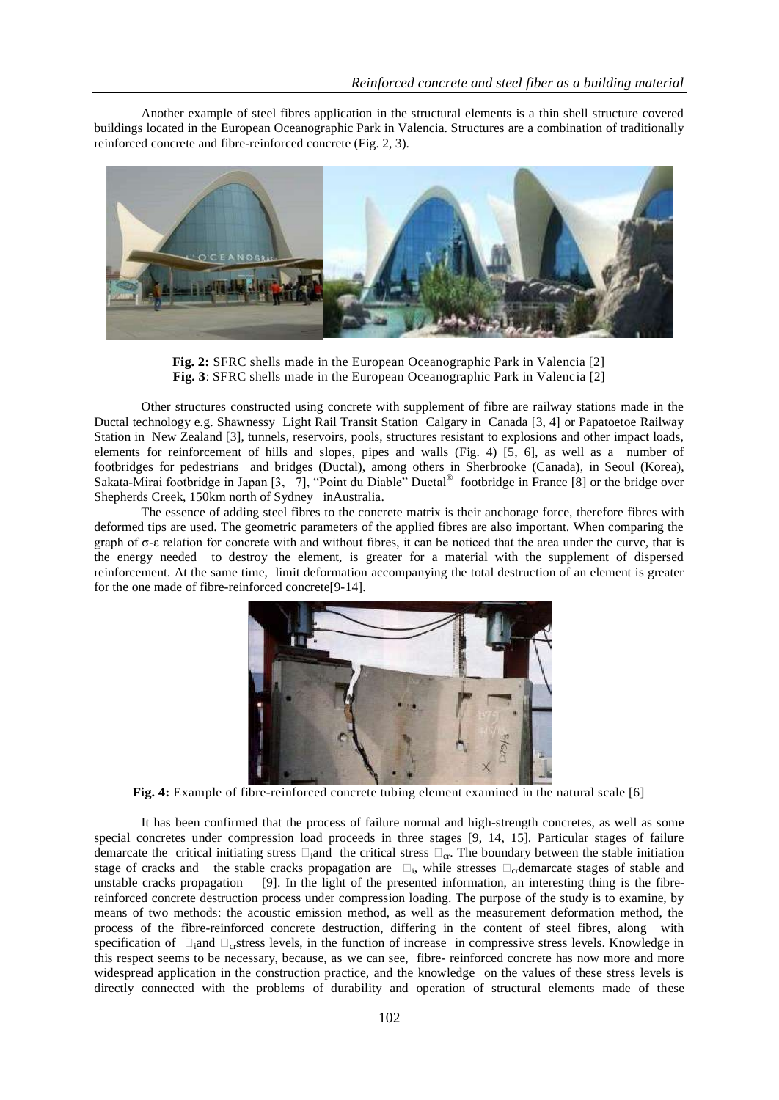Another example of steel fibres application in the structural elements is a thin shell structure covered buildings located in the European Oceanographic Park in Valencia. Structures are a combination of traditionally reinforced concrete and fibre-reinforced concrete (Fig. 2, 3).



**Fig. 2:** SFRC shells made in the European Oceanographic Park in Valencia [2] **Fig. 3**: SFRC shells made in the European Oceanographic Park in Valencia [2]

Other structures constructed using concrete with supplement of fibre are railway stations made in the Ductal technology e.g. Shawnessy Light Rail Transit Station Calgary in Canada [3, 4] or Papatoetoe Railway Station in New Zealand [3], tunnels, reservoirs, pools, structures resistant to explosions and other impact loads, elements for reinforcement of hills and slopes, pipes and walls (Fig. 4) [5, 6], as well as a number of footbridges for pedestrians and bridges (Ductal), among others in Sherbrooke (Canada), in Seoul (Korea), Sakata-Mirai footbridge in Japan [3, 7], "Point du Diable" Ductal<sup>®</sup> footbridge in France [8] or the bridge over Shepherds Creek, 150km north of Sydney inAustralia.

The essence of adding steel fibres to the concrete matrix is their anchorage force, therefore fibres with deformed tips are used. The geometric parameters of the applied fibres are also important. When comparing the graph of σ-ε relation for concrete with and without fibres, it can be noticed that the area under the curve, that is the energy needed to destroy the element, is greater for a material with the supplement of dispersed reinforcement. At the same time, limit deformation accompanying the total destruction of an element is greater for the one made of fibre-reinforced concrete[9-14].



**Fig. 4:** Example of fibre-reinforced concrete tubing element examined in the natural scale [6]

It has been confirmed that the process of failure normal and high-strength concretes, as well as some special concretes under compression load proceeds in three stages [9, 14, 15]. Particular stages of failure demarcate the critical initiating stress  $\square_i$  and the critical stress  $\square_{cr}$ . The boundary between the stable initiation stage of cracks and the stable cracks propagation are  $\Box_i$ , while stresses  $\Box_{cr}$  demarcate stages of stable and unstable cracks propagation [9]. In the light of the presented information, an interesting thing is the fibrereinforced concrete destruction process under compression loading. The purpose of the study is to examine, by means of two methods: the acoustic emission method, as well as the measurement deformation method, the process of the fibre-reinforced concrete destruction, differing in the content of steel fibres, along with specification of  $\Box_i$ and  $\Box_{cr}$ stress levels, in the function of increase in compressive stress levels. Knowledge in this respect seems to be necessary, because, as we can see, fibre- reinforced concrete has now more and more widespread application in the construction practice, and the knowledge on the values of these stress levels is directly connected with the problems of durability and operation of structural elements made of these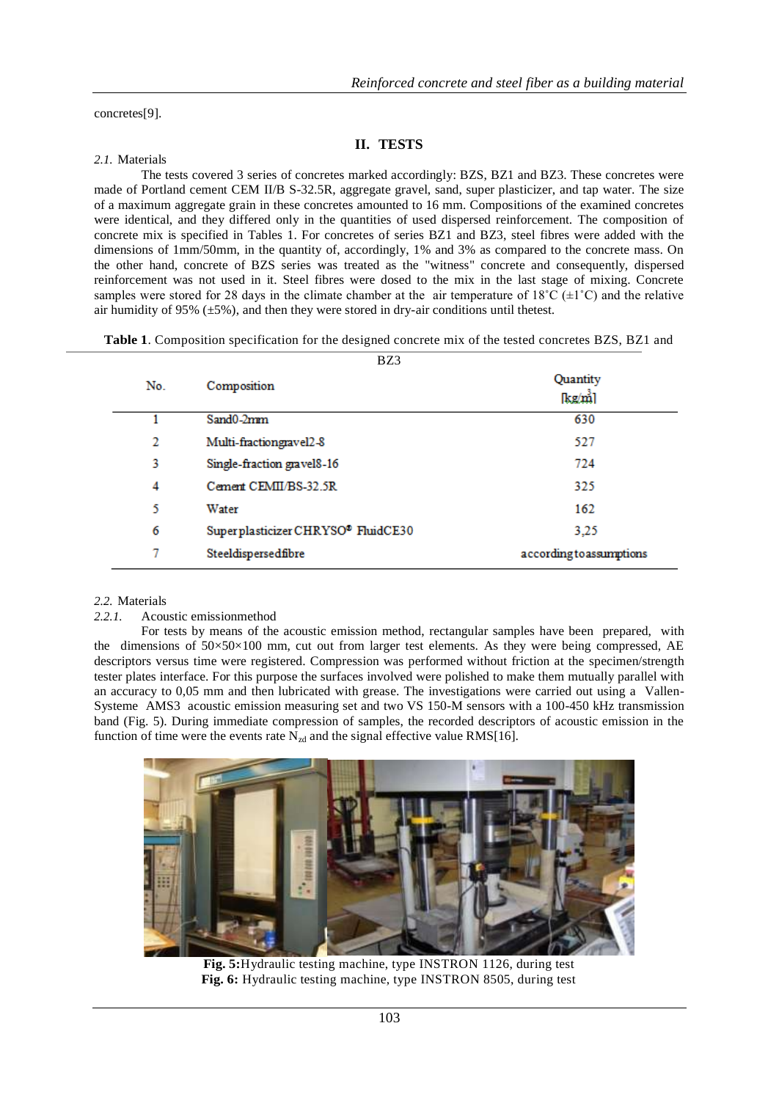concretes[9].

#### **II. TESTS**

#### *2.1.* Materials

The tests covered 3 series of concretes marked accordingly: BZS, BZ1 and BZ3. These concretes were made of Portland cement CEM II/B S-32.5R, aggregate gravel, sand, super plasticizer, and tap water. The size of a maximum aggregate grain in these concretes amounted to 16 mm. Compositions of the examined concretes were identical, and they differed only in the quantities of used dispersed reinforcement. The composition of concrete mix is specified in Tables 1. For concretes of series BZ1 and BZ3, steel fibres were added with the dimensions of 1mm/50mm, in the quantity of, accordingly, 1% and 3% as compared to the concrete mass. On the other hand, concrete of BZS series was treated as the "witness" concrete and consequently, dispersed reinforcement was not used in it. Steel fibres were dosed to the mix in the last stage of mixing. Concrete samples were stored for 28 days in the climate chamber at the air temperature of  $18^{\circ}C (\pm 1^{\circ}C)$  and the relative air humidity of 95%  $(\pm 5)$ , and then they were stored in dry-air conditions until the test.

**Table 1**. Composition specification for the designed concrete mix of the tested concretes BZS, BZ1 and  $\overline{DZ}$ 

|     | DZJ.                               |                          |
|-----|------------------------------------|--------------------------|
| No. | Composition                        | Quantity<br>[kg/m]       |
|     | Sand0-2mm                          | 630                      |
| 2   | Multi-fractiongravel2-8            | 527                      |
| 3   | Single-fraction gravel8-16         | 724                      |
| 4   | Cement CEMII/BS-32.5R              | 325                      |
| 5   | Water                              | 162                      |
| 6   | Superplasticizer CHRYSO® FluidCE30 | 3,25                     |
| 7   | Steeldispersedfibre                | according to assumptions |

#### *2.2.* Materials

#### *2.2.1.* Acoustic emissionmethod

For tests by means of the acoustic emission method, rectangular samples have been prepared, with the dimensions of  $50\times50\times100$  mm, cut out from larger test elements. As they were being compressed, AE descriptors versus time were registered. Compression was performed without friction at the specimen/strength tester plates interface. For this purpose the surfaces involved were polished to make them mutually parallel with an accuracy to 0,05 mm and then lubricated with grease. The investigations were carried out using a Vallen-Systeme AMS3 acoustic emission measuring set and two VS 150-M sensors with a 100-450 kHz transmission band (Fig. 5). During immediate compression of samples, the recorded descriptors of acoustic emission in the function of time were the events rate  $N_{zd}$  and the signal effective value RMS[16].



**Fig. 5:**Hydraulic testing machine, type INSTRON 1126, during test **Fig. 6:** Hydraulic testing machine, type INSTRON 8505, during test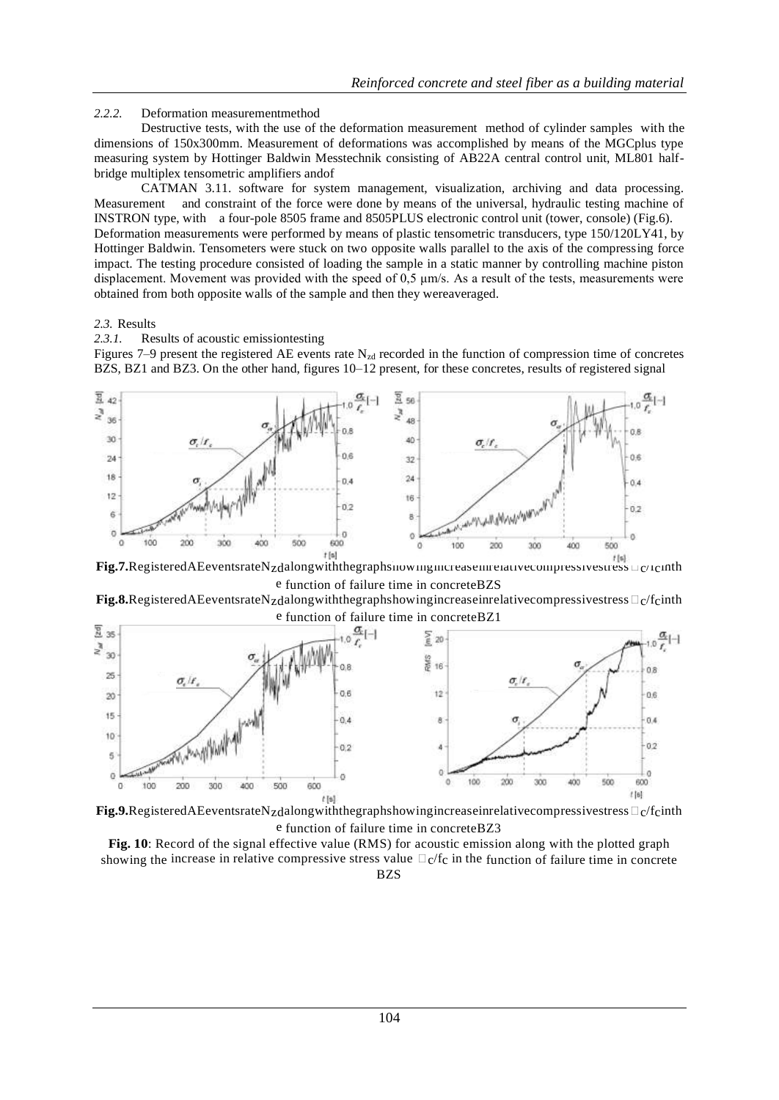#### *2.2.2.* Deformation measurementmethod

Destructive tests, with the use of the deformation measurement method of cylinder samples with the dimensions of 150x300mm. Measurement of deformations was accomplished by means of the MGCplus type measuring system by Hottinger Baldwin Messtechnik consisting of AB22A central control unit, ML801 halfbridge multiplex tensometric amplifiers andof

CATMAN 3.11. software for system management, visualization, archiving and data processing. Measurement and constraint of the force were done by means of the universal, hydraulic testing machine of INSTRON type, with a four-pole 8505 frame and 8505PLUS electronic control unit (tower, console) (Fig.6). Deformation measurements were performed by means of plastic tensometric transducers, type 150/120LY41, by Hottinger Baldwin. Tensometers were stuck on two opposite walls parallel to the axis of the compressing force impact. The testing procedure consisted of loading the sample in a static manner by controlling machine piston displacement. Movement was provided with the speed of 0,5 μm/s. As a result of the tests, measurements were obtained from both opposite walls of the sample and then they wereaveraged.

#### *2.3.* Results

*2.3.1.* Results of acoustic emissiontesting

Figures 7–9 present the registered AE events rate  $N_{zd}$  recorded in the function of compression time of concretes BZS, BZ1 and BZ3. On the other hand, figures 10–12 present, for these concretes, results of registered signal



Fig.7.RegisteredAEeventsrateNzdalongwiththegraphshowingincreaseinrelativecompressivestress = c/Icinth e function of failure time in concreteBZS

Fig.8.RegisteredAEeventsrateNzdalongwiththegraphshowingincreaseinrelativecompressivestress  $\Box_C$  /fcinth





**Fig. 10**: Record of the signal effective value (RMS) for acoustic emission along with the plotted graph showing the increase in relative compressive stress value  $\Box c/fc$  in the function of failure time in concrete BZS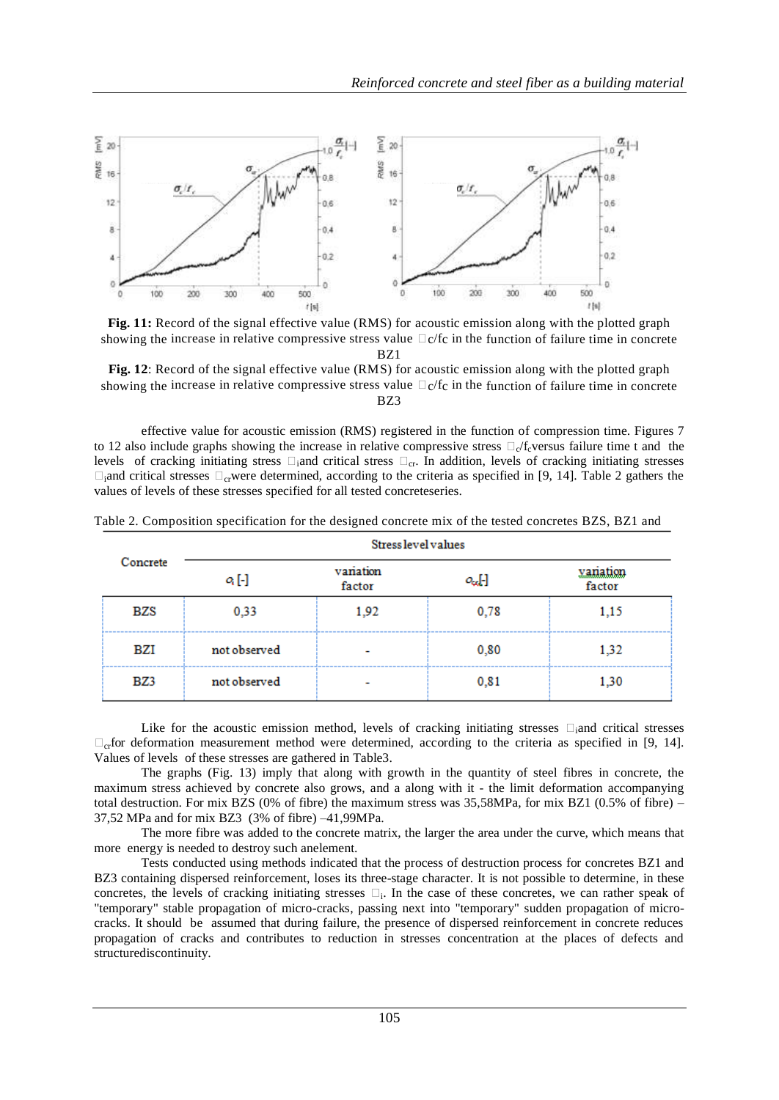

**Fig. 11:** Record of the signal effective value (RMS) for acoustic emission along with the plotted graph showing the increase in relative compressive stress value  $\Box$ c/fc in the function of failure time in concrete BZ1

**Fig. 12**: Record of the signal effective value (RMS) for acoustic emission along with the plotted graph showing the increase in relative compressive stress value  $\Box$  c/fc in the function of failure time in concrete BZ3

effective value for acoustic emission (RMS) registered in the function of compression time. Figures 7 to 12 also include graphs showing the increase in relative compressive stress  $\Box_c/f_c$  versus failure time t and the levels of cracking initiating stress  $\Box$ <sub>i</sub>and critical stress  $\Box$ <sub>cr</sub>. In addition, levels of cracking initiating stresses  $\Box$  and critical stresses  $\Box_{\rm cr}$  were determined, according to the criteria as specified in [9, 14]. Table 2 gathers the values of levels of these stresses specified for all tested concreteseries.

| Concrete | Stress level values |                     |                  |                    |
|----------|---------------------|---------------------|------------------|--------------------|
|          | $o_i$ [-]           | variation<br>factor | $o_{\alpha}$ [-] | vanation<br>factor |
| BZS      | 0,33                | 1,92                | 0,78             | 1,15               |
| BZI      | not observed        |                     | 0,80             | 1,32               |
| BZ3      | not observed        |                     | 0,81             | 1,30               |

Table 2. Composition specification for the designed concrete mix of the tested concretes BZS, BZ1 and

Like for the acoustic emission method, levels of cracking initiating stresses  $\Box$  and critical stresses  $\Box_{\rm cr}$  deformation measurement method were determined, according to the criteria as specified in [9, 14]. Values of levels of these stresses are gathered in Table3.

The graphs (Fig. 13) imply that along with growth in the quantity of steel fibres in concrete, the maximum stress achieved by concrete also grows, and a along with it - the limit deformation accompanying total destruction. For mix BZS (0% of fibre) the maximum stress was  $35,58MPa$ , for mix BZ1 (0.5% of fibre) – 37,52 MPa and for mix BZ3 (3% of fibre) –41,99MPa.

The more fibre was added to the concrete matrix, the larger the area under the curve, which means that more energy is needed to destroy such anelement.

Tests conducted using methods indicated that the process of destruction process for concretes BZ1 and BZ3 containing dispersed reinforcement, loses its three-stage character. It is not possible to determine, in these concretes, the levels of cracking initiating stresses  $\square_i$ . In the case of these concretes, we can rather speak of "temporary" stable propagation of micro-cracks, passing next into "temporary" sudden propagation of microcracks. It should be assumed that during failure, the presence of dispersed reinforcement in concrete reduces propagation of cracks and contributes to reduction in stresses concentration at the places of defects and structurediscontinuity.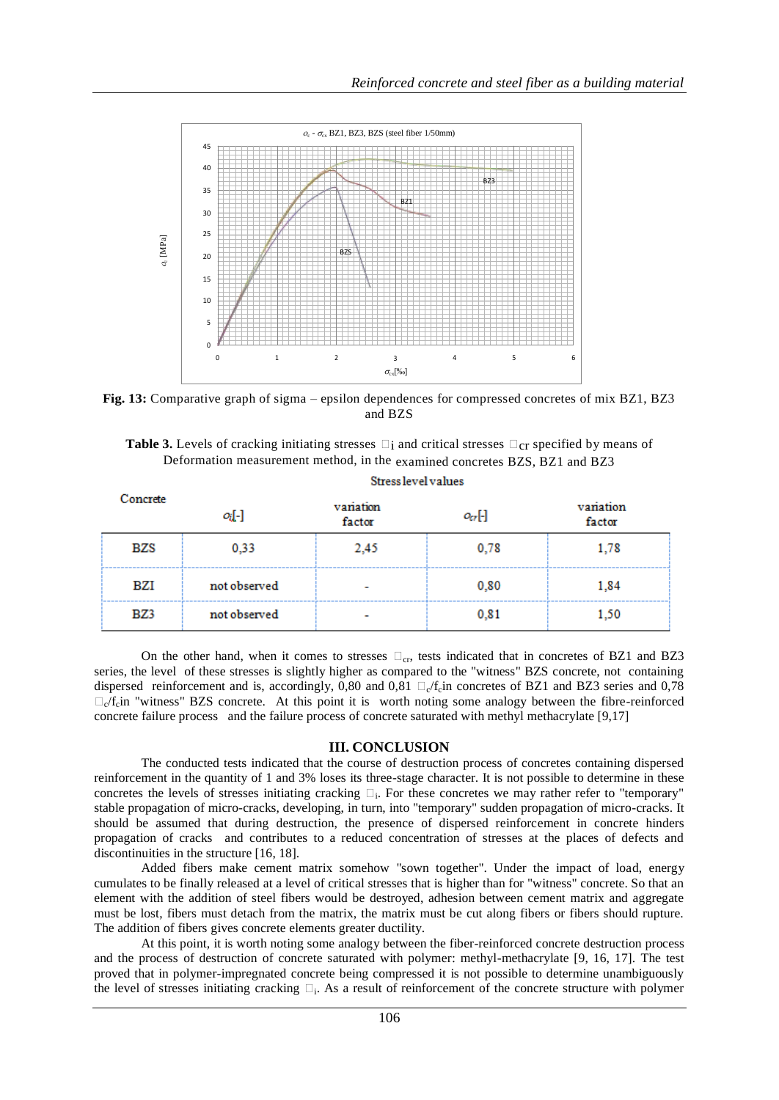

**Fig. 13:** Comparative graph of sigma – epsilon dependences for compressed concretes of mix BZ1, BZ3 and BZS

| <b>Table 3.</b> Levels of cracking initiating stresses $\square$ i and critical stresses $\square$ cr specified by means of |  |
|-----------------------------------------------------------------------------------------------------------------------------|--|
| Deformation measurement method, in the examined concretes BZS, BZ1 and BZ3                                                  |  |

Stress level values

| Concrete | oj-1         | variation<br>factor      | $o_{cr}$ [-] | variation<br>factor |
|----------|--------------|--------------------------|--------------|---------------------|
| BZS      | 0,33         | 2,45                     | 0,78         | 1,78                |
| BZI      | not observed |                          | 0,80         | 1,84                |
| BZ3      | not observed | $\overline{\phantom{a}}$ | 0,81         | 1,50                |

On the other hand, when it comes to stresses  $\Box_{cr}$ , tests indicated that in concretes of BZ1 and BZ3 series, the level of these stresses is slightly higher as compared to the "witness" BZS concrete, not containing dispersed reinforcement and is, accordingly, 0,80 and 0,81  $\Box_c/f_c$  in concretes of BZ1 and BZ3 series and 0,78  $\Box_{c}/f_{c}$  in "witness" BZS concrete. At this point it is worth noting some analogy between the fibre-reinforced concrete failure process and the failure process of concrete saturated with methyl methacrylate [9,17]

#### **III. CONCLUSION**

The conducted tests indicated that the course of destruction process of concretes containing dispersed reinforcement in the quantity of 1 and 3% loses its three-stage character. It is not possible to determine in these concretes the levels of stresses initiating cracking  $\square_i$ . For these concretes we may rather refer to "temporary" stable propagation of micro-cracks, developing, in turn, into "temporary" sudden propagation of micro-cracks. It should be assumed that during destruction, the presence of dispersed reinforcement in concrete hinders propagation of cracks and contributes to a reduced concentration of stresses at the places of defects and discontinuities in the structure [16, 18].

Added fibers make cement matrix somehow "sown together". Under the impact of load, energy cumulates to be finally released at a level of critical stresses that is higher than for "witness" concrete. So that an element with the addition of steel fibers would be destroyed, adhesion between cement matrix and aggregate must be lost, fibers must detach from the matrix, the matrix must be cut along fibers or fibers should rupture. The addition of fibers gives concrete elements greater ductility.

At this point, it is worth noting some analogy between the fiber-reinforced concrete destruction process and the process of destruction of concrete saturated with polymer: methyl-methacrylate [9, 16, 17]. The test proved that in polymer-impregnated concrete being compressed it is not possible to determine unambiguously the level of stresses initiating cracking  $\square_i$ . As a result of reinforcement of the concrete structure with polymer